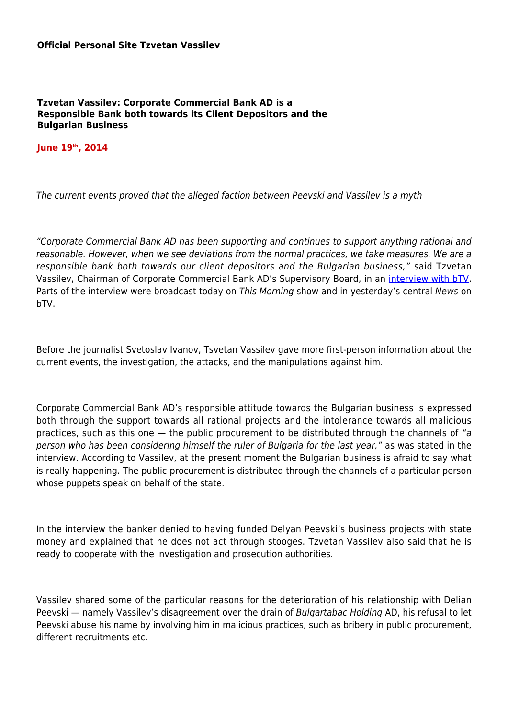## **Tzvetan Vassilev: Corporate Commercial Bank AD is a Responsible Bank both towards its Client Depositors and the Bulgarian Business**

## **June 19th, 2014**

The current events proved that the alleged faction between Peevski and Vassilev is a myth

"Corporate Commercial Bank AD has been supporting and continues to support anything rational and reasonable. However, when we see deviations from the normal practices, we take measures. We are a responsible bank both towards our client depositors and the Bulgarian business," said Tzvetan Vassilev, Chairman of Corporate Commercial Bank AD's Supervisory Board, in an [interview with bTV.](http://btvnews.bg/article/bulgaria/tsvetan-vasilev-marionetki-na-peevski-govoryat-ot-imeto-na-darzhavata.html) Parts of the interview were broadcast today on This Morning show and in yesterday's central News on bTV.

Before the journalist Svetoslav Ivanov, Tsvetan Vassilev gave more first-person information about the current events, the investigation, the attacks, and the manipulations against him.

Corporate Commercial Bank AD's responsible attitude towards the Bulgarian business is expressed both through the support towards all rational projects and the intolerance towards all malicious practices, such as this one — the public procurement to be distributed through the channels of "a person who has been considering himself the ruler of Bulgaria for the last year," as was stated in the interview. According to Vassilev, at the present moment the Bulgarian business is afraid to say what is really happening. The public procurement is distributed through the channels of a particular person whose puppets speak on behalf of the state.

In the interview the banker denied to having funded Delyan Peevski's business projects with state money and explained that he does not act through stooges. Tzvetan Vassilev also said that he is ready to cooperate with the investigation and prosecution authorities.

Vassilev shared some of the particular reasons for the deterioration of his relationship with Delian Peevski — namely Vassilev's disagreement over the drain of Bulgartabac Holding AD, his refusal to let Peevski abuse his name by involving him in malicious practices, such as bribery in public procurement, different recruitments etc.